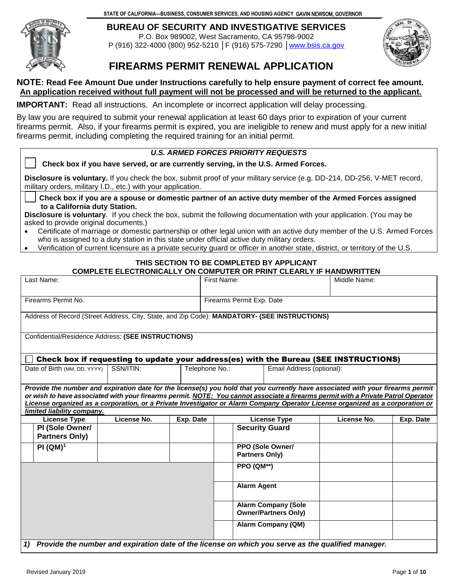**STATE OF CALIFORNIA—BUSINESS, CONSUMER SERVICES, AND HOUSING AGENCY** GAVIN NEWSOM, GOVERNOR



**BUREAU OF SECURITY AND INVESTIGATIVE SERVICES**  P.O. Box 989002, West Sacramento, CA 95798-9002 P (916) 322-4000 (800) 952-5210 │F (916) 575-7290 [│www.bsis.ca.gov](https://www.bsis.ca.gov)



## **FIREARMS PERMIT RENEWAL APPLICATION**

#### **NOTE: Read Fee Amount Due under Instructions carefully to help ensure payment of correct fee amount. An application received without full payment will not be processed and will be returned to the applicant.**

**IMPORTANT:** Read all instructions. An incomplete or incorrect application will delay processing.

 By law you are required to submit your renewal application at least 60 days prior to expiration of your current firearms permit. Also, if your firearms permit is expired, you are ineligible to renew and must apply for a new initial firearms permit, including completing the required training for an initial permit.

#### *U.S. ARMED FORCES PRIORITY REQUESTS*

□ **□ Check box if you have served, or are currently serving, in the U.S. Armed Forces.** 

 military orders, military I.D., etc.) with your application. **Disclosure is voluntary.** If you check the box, submit proof of your military service (e.g. DD-214, DD-256, V-MET record,

 **Check box if you are a spouse or domestic partner of an active duty member of the Armed Forces assigned to a California duty Station.** 

**Disclosure is voluntary**. If you check the box, submit the following documentation with your application. (You may be asked to provide original documents.)

- • Certificate of marriage or domestic partnership or other legal union with an active duty member of the U.S. Armed Forces who is assigned to a duty station in this state under official active duty military orders.
- Verification of current licensure as a private security guard or officer in another state, district, or territory of the U.S.

# **THIS SECTION TO BE COMPLETED BY APPLICANT**

#### rest Name: Eirst Name: Eirst Name: Name: Name: Name: Name: Name: Name: Name: Name: Name: Name: Name: Name: Name: Name: Name: Name: Name: Name: Name: Name: Name: Name: Name: Name: Name: Name: Name: Name: Name: Name: Name: N **COMPLETE ELECTRONICALLY ON COMPUTER OR PRINT CLEARLY IF HANDWRITTEN**

| Last Name:                                                                                                                                                                                                                                                                                                                                                                                                                          |                                                                                                    |                                                                                              |           | First Name:<br>Middle Name: |                                           |                           |             |           |  |  |
|-------------------------------------------------------------------------------------------------------------------------------------------------------------------------------------------------------------------------------------------------------------------------------------------------------------------------------------------------------------------------------------------------------------------------------------|----------------------------------------------------------------------------------------------------|----------------------------------------------------------------------------------------------|-----------|-----------------------------|-------------------------------------------|---------------------------|-------------|-----------|--|--|
| Firearms Permit No.                                                                                                                                                                                                                                                                                                                                                                                                                 |                                                                                                    |                                                                                              |           |                             | Firearms Permit Exp. Date                 |                           |             |           |  |  |
|                                                                                                                                                                                                                                                                                                                                                                                                                                     |                                                                                                    | Address of Record (Street Address, City, State, and Zip Code): MANDATORY- (SEE INSTRUCTIONS) |           |                             |                                           |                           |             |           |  |  |
| Confidential/Residence Address: (SEE INSTRUCTIONS)                                                                                                                                                                                                                                                                                                                                                                                  |                                                                                                    |                                                                                              |           |                             |                                           |                           |             |           |  |  |
| Check box if requesting to update your address(es) with the Bureau (SEE INSTRUCTIONS)                                                                                                                                                                                                                                                                                                                                               |                                                                                                    |                                                                                              |           |                             |                                           |                           |             |           |  |  |
|                                                                                                                                                                                                                                                                                                                                                                                                                                     | Date of Birth (MM, DD, YYYY)                                                                       | SSN/ITIN:                                                                                    |           | Telephone No.:              |                                           | Email Address (optional): |             |           |  |  |
| Provide the number and expiration date for the license(s) you hold that you currently have associated with your firearms permit<br>or wish to have associated with your firearms permit. NOTE: You cannot associate a firearms permit with a Private Patrol Operator<br>License organized as a corporation, or a Private Investigator or Alarm Company Operator License organized as a corporation or<br>limited liability company. |                                                                                                    |                                                                                              |           |                             |                                           |                           |             |           |  |  |
|                                                                                                                                                                                                                                                                                                                                                                                                                                     | <b>License Type</b>                                                                                | License No.                                                                                  | Exp. Date |                             |                                           | <b>License Type</b>       | License No. | Exp. Date |  |  |
|                                                                                                                                                                                                                                                                                                                                                                                                                                     | PI (Sole Owner/<br><b>Partners Only)</b>                                                           |                                                                                              |           |                             | <b>Security Guard</b>                     |                           |             |           |  |  |
|                                                                                                                                                                                                                                                                                                                                                                                                                                     | $PI(QM)^{1}$                                                                                       |                                                                                              |           |                             | PPO (Sole Owner/<br><b>Partners Only)</b> |                           |             |           |  |  |
|                                                                                                                                                                                                                                                                                                                                                                                                                                     |                                                                                                    |                                                                                              |           |                             | PPO (QM**)                                |                           |             |           |  |  |
|                                                                                                                                                                                                                                                                                                                                                                                                                                     |                                                                                                    |                                                                                              |           |                             | <b>Alarm Agent</b>                        |                           |             |           |  |  |
|                                                                                                                                                                                                                                                                                                                                                                                                                                     | <b>Alarm Company (Sole</b><br><b>Owner/Partners Only)</b>                                          |                                                                                              |           |                             |                                           |                           |             |           |  |  |
|                                                                                                                                                                                                                                                                                                                                                                                                                                     | <b>Alarm Company (QM)</b>                                                                          |                                                                                              |           |                             |                                           |                           |             |           |  |  |
| 1)                                                                                                                                                                                                                                                                                                                                                                                                                                  | Provide the number and expiration date of the license on which you serve as the qualified manager. |                                                                                              |           |                             |                                           |                           |             |           |  |  |
|                                                                                                                                                                                                                                                                                                                                                                                                                                     | Revised January 2019<br>Page 1 of 10                                                               |                                                                                              |           |                             |                                           |                           |             |           |  |  |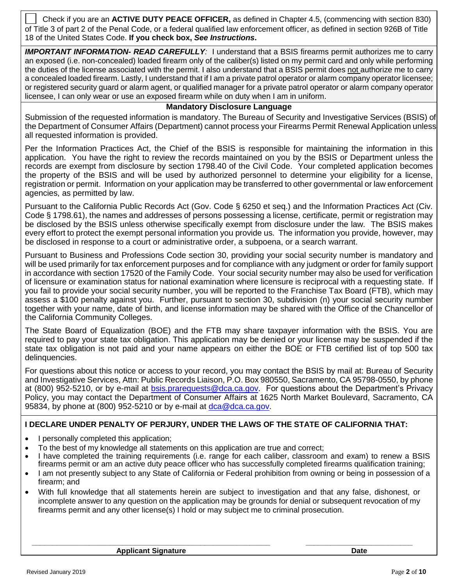of Title 3 of part 2 of the Penal Code, or a federal qualified law enforcement officer, as defined in section 926B of Title  18 of the United States Code. **If you check box,** *See Instructions***.**  □ Check if you are an **ACTIVE DUTY PEACE OFFICER,** as defined in Chapter 4.5, (commencing with section 830)

 *IMPORTANT INFORMATION- READ CAREFULLY:* I understand that a BSIS firearms permit authorizes me to carry an exposed (i.e. non-concealed) loaded firearm only of the caliber(s) listed on my permit card and only while performing the duties of the license associated with the permit. I also understand that a BSIS permit does not authorize me to carry a concealed loaded firearm. Lastly, I understand that if I am a private patrol operator or alarm company operator licensee; or registered security guard or alarm agent, or qualified manager for a private patrol operator or alarm company operator licensee, I can only wear or use an exposed firearm while on duty when I am in uniform.

#### **Mandatory Disclosure Language**

 Submission of the requested information is mandatory. The Bureau of Security and Investigative Services (BSIS) of the Department of Consumer Affairs (Department) cannot process your Firearms Permit Renewal Application unless all requested information is provided.

 Per the Information Practices Act, the Chief of the BSIS is responsible for maintaining the information in this application. You have the right to review the records maintained on you by the BSIS or Department unless the records are exempt from disclosure by section 1798.40 of the Civil Code. Your completed application becomes the property of the BSIS and will be used by authorized personnel to determine your eligibility for a license, registration or permit. Information on your application may be transferred to other governmental or law enforcement agencies, as permitted by law.

 Pursuant to the California Public Records Act (Gov. Code § 6250 et seq.) and the Information Practices Act (Civ. Code § 1798.61), the names and addresses of persons possessing a license, certificate, permit or registration may be disclosed by the BSIS unless otherwise specifically exempt from disclosure under the law. The BSIS makes every effort to protect the exempt personal information you provide us. The information you provide, however, may be disclosed in response to a court or administrative order, a subpoena, or a search warrant.

 Pursuant to Business and Professions Code section 30, providing your social security number is mandatory and will be used primarily for tax enforcement purposes and for compliance with any judgment or order for family support in accordance with section 17520 of the Family Code. Your social security number may also be used for verification of licensure or examination status for national examination where licensure is reciprocal with a requesting state. If you fail to provide your social security number, you will be reported to the Franchise Tax Board (FTB), which may assess a \$100 penalty against you. Further, pursuant to section 30, subdivision (n) your social security number together with your name, date of birth, and license information may be shared with the Office of the Chancellor of the California Community Colleges.

 The State Board of Equalization (BOE) and the FTB may share taxpayer information with the BSIS. You are required to pay your state tax obligation. This application may be denied or your license may be suspended if the state tax obligation is not paid and your name appears on either the BOE or FTB certified list of top 500 tax delinquencies.

 For questions about this notice or access to your record, you may contact the BSIS by mail at: Bureau of Security and Investigative Services, Attn: Public Records Liaison, P.O. Box 980550, Sacramento, CA 95798-0550, by phone at (800) 952-5210, or by e-mail at **bsis.prarequests@dca.ca.gov.** For questions about the Department's Privacy Policy, you may contact the Department of Consumer Affairs at 1625 North Market Boulevard, Sacramento, CA 95834, by phone at (800) 952-5210 or by e-mail at **dca@dca.ca.gov.** 

#### **I DECLARE UNDER PENALTY OF PERJURY, UNDER THE LAWS OF THE STATE OF CALIFORNIA THAT:**

- I personally completed this application;
- To the best of my knowledge all statements on this application are true and correct;
- • I have completed the training requirements (i.e. range for each caliber, classroom and exam) to renew a BSIS firearms permit or am an active duty peace officer who has successfully completed firearms qualification training;
- • I am not presently subject to any State of California or Federal prohibition from owning or being in possession of a firearm; and
- • With full knowledge that all statements herein are subject to investigation and that any false, dishonest, or incomplete answer to any question on the application may be grounds for denial or subsequent revocation of my firearms permit and any other license(s) I hold or may subject me to criminal prosecution.

**\_\_\_\_\_\_\_\_\_\_\_\_\_\_\_\_\_\_\_\_\_\_\_\_\_\_\_\_\_\_\_\_\_\_\_\_\_\_\_\_\_\_\_\_\_\_\_\_\_\_\_\_\_\_\_\_\_\_ \_\_\_\_\_\_\_\_\_\_\_\_\_\_\_\_\_\_\_\_\_\_\_\_\_\_** 

**Applicant Signature Community Community Community Community Community Community Community Community Community**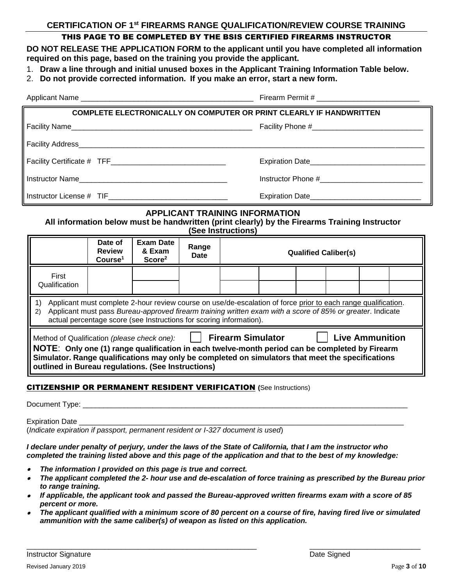#### **CERTIFICATION OF 1st FIREARMS RANGE QUALIFICATION/REVIEW COURSE TRAINING**

#### THIS PAGE TO BE COMPLETED BY THE BSIS CERTIFIED FIREARMS INSTRUCTOR

 **DO NOT RELEASE THE APPLICATION FORM to the applicant until you have completed all information required on this page, based on the training you provide the applicant.** 

- 1. **Draw a line through and initial unused boxes in the Applicant Training Information Table below.**
- 2. **Do not provide corrected information. If you make an error, start a new form.**

| <b>COMPLETE ELECTRONICALLY ON COMPUTER OR PRINT CLEARLY IF HANDWRITTEN</b>                                                                                                                                                                                                                                                                            |                                                 |                                                  |               |                             |                                                    |  |  |  |  |
|-------------------------------------------------------------------------------------------------------------------------------------------------------------------------------------------------------------------------------------------------------------------------------------------------------------------------------------------------------|-------------------------------------------------|--------------------------------------------------|---------------|-----------------------------|----------------------------------------------------|--|--|--|--|
|                                                                                                                                                                                                                                                                                                                                                       |                                                 |                                                  |               |                             |                                                    |  |  |  |  |
|                                                                                                                                                                                                                                                                                                                                                       |                                                 |                                                  |               |                             |                                                    |  |  |  |  |
|                                                                                                                                                                                                                                                                                                                                                       |                                                 |                                                  |               |                             |                                                    |  |  |  |  |
| Instructor Name                                                                                                                                                                                                                                                                                                                                       |                                                 |                                                  |               |                             |                                                    |  |  |  |  |
|                                                                                                                                                                                                                                                                                                                                                       |                                                 |                                                  |               |                             | Expiration Date___________________________________ |  |  |  |  |
| <b>APPLICANT TRAINING INFORMATION</b><br>All information below must be handwritten (print clearly) by the Firearms Training Instructor<br>(See Instructions)                                                                                                                                                                                          |                                                 |                                                  |               |                             |                                                    |  |  |  |  |
|                                                                                                                                                                                                                                                                                                                                                       | Date of<br><b>Review</b><br>Course <sup>1</sup> | <b>Exam Date</b><br>& Exam<br>Score <sup>2</sup> | Range<br>Date | <b>Qualified Caliber(s)</b> |                                                    |  |  |  |  |
| First<br>Qualification                                                                                                                                                                                                                                                                                                                                |                                                 |                                                  |               |                             |                                                    |  |  |  |  |
| Applicant must complete 2-hour review course on use/de-escalation of force prior to each range qualification.<br>1)<br>Applicant must pass Bureau-approved firearm training written exam with a score of 85% or greater. Indicate<br>2)<br>actual percentage score (see Instructions for scoring information).                                        |                                                 |                                                  |               |                             |                                                    |  |  |  |  |
| Method of Qualification (please check one):   Firearm Simulator<br><b>Live Ammunition</b><br>NOTE: Only one (1) range qualification in each twelve-month period can be completed by Firearm<br>Simulator. Range qualifications may only be completed on simulators that meet the specifications<br>outlined in Bureau regulations. (See Instructions) |                                                 |                                                  |               |                             |                                                    |  |  |  |  |
| <b>CITIZENSHIP OR PERMANENT RESIDENT VERIFICATION (See Instructions)</b>                                                                                                                                                                                                                                                                              |                                                 |                                                  |               |                             |                                                    |  |  |  |  |

Expiration Date

(*Indicate expiration if passport, permanent resident or I-327 document is used*)

*I declare under penalty of perjury, under the laws of the State of California, that I am the instructor who completed the training listed above and this page of the application and that to the best of my knowledge:* 

- •*The information I provided on this page is true and correct.*
- • *The applicant completed the 2- hour use and de-escalation of force training as prescribed by the Bureau prior to range training.*
- • *If applicable, the applicant took and passed the Bureau-approved written firearms exam with a score of 85 percent or more.*
- • *The applicant qualified with a minimum score of 80 percent on a course of fire, having fired live or simulated ammunition with the same caliber(s) of weapon as listed on this application.*

\_\_\_\_\_\_\_\_\_\_\_\_\_\_\_\_\_\_\_\_\_\_\_\_\_\_\_\_\_\_\_\_\_\_\_\_\_\_\_\_\_\_\_\_\_\_\_\_\_\_\_\_\_\_\_\_ \_\_\_\_\_\_\_\_\_\_\_\_\_\_\_\_\_\_\_\_\_\_\_\_\_\_\_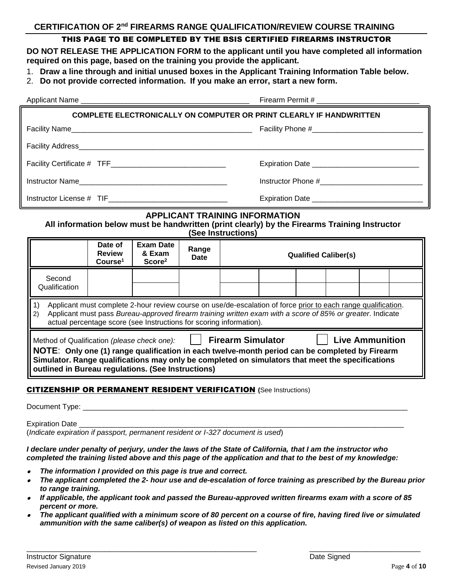## **CERTIFICATION OF 2nd FIREARMS RANGE QUALIFICATION/REVIEW COURSE TRAINING**

### THIS PAGE TO BE COMPLETED BY THE BSIS CERTIFIED FIREARMS INSTRUCTOR

 **DO NOT RELEASE THE APPLICATION FORM to the applicant until you have completed all information required on this page, based on the training you provide the applicant.** 

- 1. **Draw a line through and initial unused boxes in the Applicant Training Information Table below.**
- 2. **Do not provide corrected information. If you make an error, start a new form.**

|                                                                                                                                                                                                                                                                                                                                                         |                                                 | Firearm Permit # ___________________                                       |               |  |                                              |  |                             |  |  |
|---------------------------------------------------------------------------------------------------------------------------------------------------------------------------------------------------------------------------------------------------------------------------------------------------------------------------------------------------------|-------------------------------------------------|----------------------------------------------------------------------------|---------------|--|----------------------------------------------|--|-----------------------------|--|--|
|                                                                                                                                                                                                                                                                                                                                                         |                                                 | <b>COMPLETE ELECTRONICALLY ON COMPUTER OR PRINT CLEARLY IF HANDWRITTEN</b> |               |  |                                              |  |                             |  |  |
|                                                                                                                                                                                                                                                                                                                                                         |                                                 |                                                                            |               |  |                                              |  |                             |  |  |
|                                                                                                                                                                                                                                                                                                                                                         |                                                 |                                                                            |               |  |                                              |  |                             |  |  |
|                                                                                                                                                                                                                                                                                                                                                         |                                                 |                                                                            |               |  | Expiration Date ____________________________ |  |                             |  |  |
|                                                                                                                                                                                                                                                                                                                                                         |                                                 |                                                                            |               |  |                                              |  |                             |  |  |
|                                                                                                                                                                                                                                                                                                                                                         |                                                 |                                                                            |               |  |                                              |  |                             |  |  |
| <b>APPLICANT TRAINING INFORMATION</b><br>All information below must be handwritten (print clearly) by the Firearms Training Instructor<br>(See Instructions)                                                                                                                                                                                            |                                                 |                                                                            |               |  |                                              |  |                             |  |  |
|                                                                                                                                                                                                                                                                                                                                                         | Date of<br><b>Review</b><br>Course <sup>1</sup> | <b>Exam Date</b><br>& Exam<br>Score <sup>2</sup>                           | Range<br>Date |  |                                              |  | <b>Qualified Caliber(s)</b> |  |  |
| Second<br>Qualification                                                                                                                                                                                                                                                                                                                                 |                                                 |                                                                            |               |  |                                              |  |                             |  |  |
| Applicant must complete 2-hour review course on use/de-escalation of force prior to each range qualification.<br>1)<br>Applicant must pass Bureau-approved firearm training written exam with a score of 85% or greater. Indicate<br>2)<br>actual percentage score (see Instructions for scoring information).                                          |                                                 |                                                                            |               |  |                                              |  |                             |  |  |
| Method of Qualification (please check one): $\Box$ Firearm Simulator $\Box$ Live Ammunition<br>NOTE: Only one (1) range qualification in each twelve-month period can be completed by Firearm<br>Simulator. Range qualifications may only be completed on simulators that meet the specifications<br>outlined in Bureau regulations. (See Instructions) |                                                 |                                                                            |               |  |                                              |  |                             |  |  |
| <b>CITIZENSHIP OR PERMANENT RESIDENT VERIFICATION (See Instructions)</b>                                                                                                                                                                                                                                                                                |                                                 |                                                                            |               |  |                                              |  |                             |  |  |

Expiration Date

(*Indicate expiration if passport, permanent resident or I-327 document is used*)

*I declare under penalty of perjury, under the laws of the State of California, that I am the instructor who completed the training listed above and this page of the application and that to the best of my knowledge:* 

- •*The information I provided on this page is true and correct.*
- • *The applicant completed the 2- hour use and de-escalation of force training as prescribed by the Bureau prior to range training.*
- • *If applicable, the applicant took and passed the Bureau-approved written firearms exam with a score of 85 percent or more.*
- • *The applicant qualified with a minimum score of 80 percent on a course of fire, having fired live or simulated ammunition with the same caliber(s) of weapon as listed on this application.*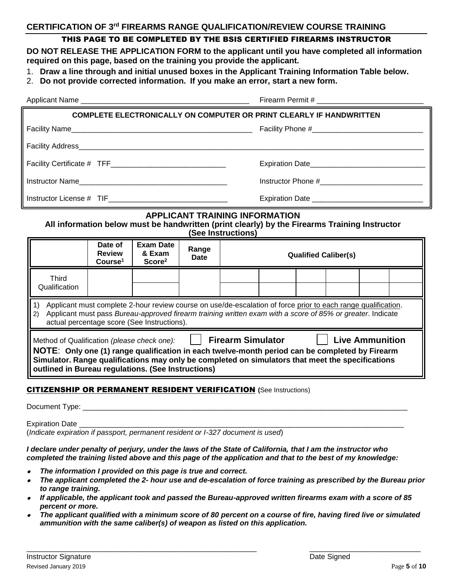### **CERTIFICATION OF 3rd FIREARMS RANGE QUALIFICATION/REVIEW COURSE TRAINING**

#### THIS PAGE TO BE COMPLETED BY THE BSIS CERTIFIED FIREARMS INSTRUCTOR

 **DO NOT RELEASE THE APPLICATION FORM to the applicant until you have completed all information required on this page, based on the training you provide the applicant.** 

- 1. **Draw a line through and initial unused boxes in the Applicant Training Information Table below.**
- 2. **Do not provide corrected information. If you make an error, start a new form.**

| COMPLETE ELECTRONICALLY ON COMPUTER OR PRINT CLEARLY IF HANDWRITTEN |                 |  |  |  |  |  |  |
|---------------------------------------------------------------------|-----------------|--|--|--|--|--|--|
|                                                                     |                 |  |  |  |  |  |  |
|                                                                     |                 |  |  |  |  |  |  |
|                                                                     | Expiration Date |  |  |  |  |  |  |
|                                                                     |                 |  |  |  |  |  |  |
|                                                                     |                 |  |  |  |  |  |  |

### **APPLICANT TRAINING INFORMATION**

**All information below must be handwritten (print clearly) by the Firearms Training Instructor (See Instructions)** 

|                                                                                                                                                                                                                                                                                                                                                               | Date of<br><b>Review</b><br>Course <sup>1</sup> | <b>Exam Date</b><br>& Exam<br>Score <sup>2</sup> | Range<br><b>Date</b> | <b>Qualified Caliber(s)</b> |  |  |  |  |  |
|---------------------------------------------------------------------------------------------------------------------------------------------------------------------------------------------------------------------------------------------------------------------------------------------------------------------------------------------------------------|-------------------------------------------------|--------------------------------------------------|----------------------|-----------------------------|--|--|--|--|--|
| Third<br>Qualification                                                                                                                                                                                                                                                                                                                                        |                                                 |                                                  |                      |                             |  |  |  |  |  |
| Applicant must complete 2-hour review course on use/de-escalation of force prior to each range qualification.<br>Applicant must pass Bureau-approved firearm training written exam with a score of 85% or greater. Indicate<br>2)<br>actual percentage score (See Instructions).                                                                              |                                                 |                                                  |                      |                             |  |  |  |  |  |
| <b>Live Ammunition</b><br><b>Firearm Simulator</b><br>Method of Qualification (please check one):<br>NOTE: Only one (1) range qualification in each twelve-month period can be completed by Firearm<br>Simulator. Range qualifications may only be completed on simulators that meet the specifications<br>outlined in Bureau regulations. (See Instructions) |                                                 |                                                  |                      |                             |  |  |  |  |  |

#### CITIZENSHIP OR PERMANENT RESIDENT VERIFICATION **(**See Instructions)

Document Type: \_

Expiration Date

(*Indicate expiration if passport, permanent resident or I-327 document is used*)

*I declare under penalty of perjury, under the laws of the State of California, that I am the instructor who completed the training listed above and this page of the application and that to the best of my knowledge:* 

- •*The information I provided on this page is true and correct.*
- • *The applicant completed the 2- hour use and de-escalation of force training as prescribed by the Bureau prior to range training.*
- • *If applicable, the applicant took and passed the Bureau-approved written firearms exam with a score of 85 percent or more.*
- • *The applicant qualified with a minimum score of 80 percent on a course of fire, having fired live or simulated ammunition with the same caliber(s) of weapon as listed on this application.*

\_\_\_\_\_\_\_\_\_\_\_\_\_\_\_\_\_\_\_\_\_\_\_\_\_\_\_\_\_\_\_\_\_\_\_\_\_\_\_\_\_\_\_\_\_\_\_\_\_\_\_\_\_\_\_\_ \_\_\_\_\_\_\_\_\_\_\_\_\_\_\_\_\_\_\_\_\_\_\_\_\_\_\_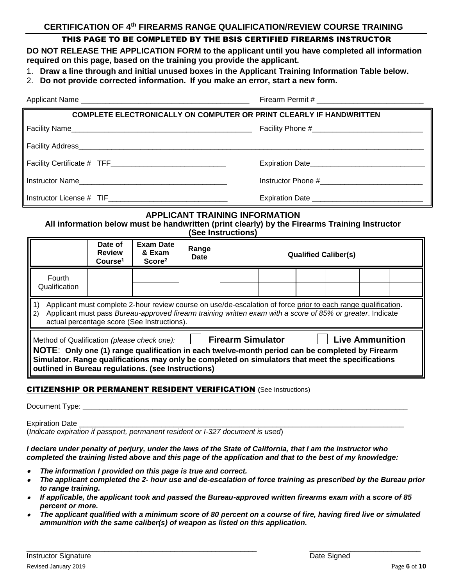### <span id="page-5-0"></span> **CERTIFICATION OF 4th FIREARMS RANGE QUALIFICATION/REVIEW COURSE TRAINING**

### THIS PAGE TO BE COMPLETED BY THE BSIS CERTIFIED FIREARMS INSTRUCTOR

 **DO NOT RELEASE THE APPLICATION FORM to the applicant until you have completed all information required on this page, based on the training you provide the applicant.** 

- 1. **Draw a line through and initial unused boxes in the Applicant Training Information Table below.**
- 2. **Do not provide corrected information. If you make an error, start a new form.**

| <b>COMPLETE ELECTRONICALLY ON COMPUTER OR PRINT CLEARLY IF HANDWRITTEN</b> |                                                 |  |  |  |  |  |  |  |
|----------------------------------------------------------------------------|-------------------------------------------------|--|--|--|--|--|--|--|
|                                                                            |                                                 |  |  |  |  |  |  |  |
|                                                                            |                                                 |  |  |  |  |  |  |  |
|                                                                            |                                                 |  |  |  |  |  |  |  |
|                                                                            |                                                 |  |  |  |  |  |  |  |
|                                                                            | Expiration Date _______________________________ |  |  |  |  |  |  |  |
| <b>APPLICANT TRAINING INFORMATION</b>                                      |                                                 |  |  |  |  |  |  |  |

**All information below must be handwritten (print clearly) by the Firearms Training Instructor (See Instructions)** 

|                                                                                                                                                                                                                                                                                                                                                               | Date of<br><b>Review</b><br>Course <sup>1</sup> | Exam Date<br>& Exam<br>Score <sup>2</sup> | Range<br><b>Date</b> |  | <b>Qualified Caliber(s)</b> |  |  |  |  |  |
|---------------------------------------------------------------------------------------------------------------------------------------------------------------------------------------------------------------------------------------------------------------------------------------------------------------------------------------------------------------|-------------------------------------------------|-------------------------------------------|----------------------|--|-----------------------------|--|--|--|--|--|
| Fourth<br>Qualification                                                                                                                                                                                                                                                                                                                                       |                                                 |                                           |                      |  |                             |  |  |  |  |  |
| Applicant must complete 2-hour review course on use/de-escalation of force prior to each range qualification.<br>Applicant must pass Bureau-approved firearm training written exam with a score of 85% or greater. Indicate<br>$\mathbf{2}$<br>actual percentage score (See Instructions).                                                                    |                                                 |                                           |                      |  |                             |  |  |  |  |  |
| <b>Live Ammunition</b><br><b>Firearm Simulator</b><br>Method of Qualification (please check one):<br>NOTE: Only one (1) range qualification in each twelve-month period can be completed by Firearm<br>Simulator. Range qualifications may only be completed on simulators that meet the specifications<br>outlined in Bureau regulations. (see Instructions) |                                                 |                                           |                      |  |                             |  |  |  |  |  |

#### CITIZENSHIP OR PERMANENT RESIDENT VERIFICATION **(**See Instructions)

Document Type: \_\_\_

Expiration Date

(*Indicate expiration if passport, permanent resident or I-327 document is used*)

*I declare under penalty of perjury, under the laws of the State of California, that I am the instructor who completed the training listed above and this page of the application and that to the best of my knowledge:* 

- •*The information I provided on this page is true and correct.*
- • *The applicant completed the 2- hour use and de-escalation of force training as prescribed by the Bureau prior to range training.*
- • *If applicable, the applicant took and passed the Bureau-approved written firearms exam with a score of 85 percent or more.*
- • *The applicant qualified with a minimum score of 80 percent on a course of fire, having fired live or simulated ammunition with the same caliber(s) of weapon as listed on this application.*

\_\_\_\_\_\_\_\_\_\_\_\_\_\_\_\_\_\_\_\_\_\_\_\_\_\_\_\_\_\_\_\_\_\_\_\_\_\_\_\_\_\_\_\_\_\_\_\_\_\_\_\_\_\_\_\_ \_\_\_\_\_\_\_\_\_\_\_\_\_\_\_\_\_\_\_\_\_\_\_\_\_\_\_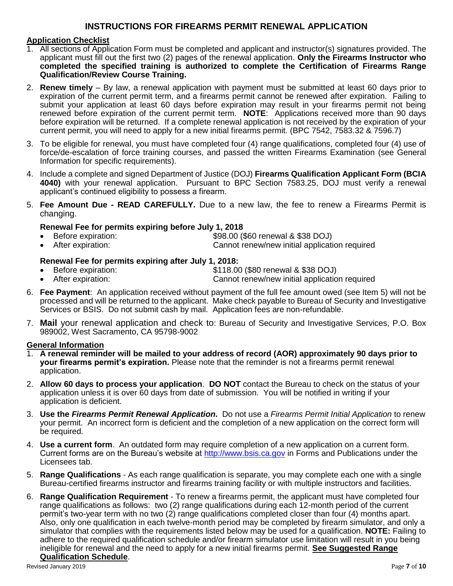#### **Application Checklist**

- 1. All sections of Application Form must be completed and applicant and instructor(s) signatures provided. The applicant must fill out the first two (2) pages of the renewal application. **Only the Firearms Instructor who completed the specified training is authorized to complete the Certification of Firearms Range Qualification/Review Course Training.**
- 2. **Renew timely**  By law, a renewal application with payment must be submitted at least 60 days prior to expiration of the current permit term, and a firearms permit cannot be renewed after expiration. Failing to submit your application at least 60 days before expiration may result in your firearms permit not being renewed before expiration of the current permit term. **NOTE**: Applications received more than 90 days before expiration will be returned. If a complete renewal application is not received by the expiration of your current permit, you will need to apply for a new initial firearms permit. (BPC 7542, 7583.32 & 7596.7) **INSTRUCTIONS FOR FIREARMS PERMIT RENEWAL APPLICATION**<br> **INSTRUCTIONS**<br> **INSTRUCTIONS**<br> **INSTRUCTION ADMIGINATION**<br> **INSTRUCTION ADMIGINATION**<br> **INSTRUCTION ADMIGINATION**<br> **INSTRUCTION CONSTRUCT SIGNATIONS**<br> **INSTRUCTION C**
- 3. To be eligible for renewal, you must have completed four (4) range qualifications, completed four (4) use of force/de-escalation of force training courses, and passed the written Firearms Examination (see General Information for specific requirements).
- 4. Include a complete and signed Department of Justice (DOJ) **Firearms Qualification Applicant Form (BCIA 4040)** with your renewal application. Pursuant to BPC Section 7583.25, DOJ must verify a renewal applicant's continued eligibility to possess a firearm.
- 5. **Fee Amount Due - READ CAREFULLY.** Due to a new law, the fee to renew a Firearms Permit is changing.

#### **Renewal Fee for permits expiring before July 1, 2018**

- Before expiration: \$98.00 (\$60 renewal & \$38 DOJ)
- After expiration: • After expiration: Cannot renew/new initial application required

#### **Renewal Fee for permits expiring after July 1, 2018:**

- Before expiration: • Before expiration:  $$118.00$  (\$80 renewal & \$38 DOJ)
- After expiration: Cannot renew/new initial application required
- 6. **Fee Payment**: An application received without payment of the full fee amount owed (see Item 5) will not be processed and will be returned to the applicant. Make check payable to Bureau of Security and Investigative Services or BSIS. Do not submit cash by mail. Application fees are non-refundable.
- 7. **Mail** your renewal application and check to: Bureau of Security and Investigative Services, P.O. Box 989002, West Sacramento, CA 95798-9002

#### **General Information**

- 1. **A renewal reminder will be mailed to your address of record (AOR) approximately 90 days prior to your firearms permit's expiration.** Please note that the reminder is not a firearms permit renewal application.
- 2. **Allow 60 days to process your application**. **DO NOT** contact the Bureau to check on the status of your application unless it is over 60 days from date of submission. You will be notified in writing if your application is deficient.
- 3. **Use the** *Firearms Permit Renewal Application***.** Do not use a *Firearms Permit Initial Application* to renew your permit. An incorrect form is deficient and the completion of a new application on the correct form will be required.
- 4. **Use a current form**. An outdated form may require completion of a new application on a current form. Current forms are on the Bureau's website at <http://www.bsis.ca.gov>in Forms and Publications under the Licensees tab.
- 5. **Range Qualifications**  As each range qualification is separate, you may complete each one with a single Bureau-certified firearms instructor and firearms training facility or with multiple instructors and facilities.
- 6. **Range Qualification Requirement**  To renew a firearms permit, the applicant must have completed four range qualifications as follows: two (2) range qualifications during each 12-month period of the current permit's two-year term with no two (2) range qualifications completed closer than four (4) months apart. Also, only one qualification in each twelve-month period may be completed by firearm simulator, and only a simulator that complies with the requirements listed below may be used for a qualification. **NOTE:** Failing to adhere to the required qualification schedule and/or firearm simulator use limitation will result in you being ineligible for renewal and the need to apply for a new initial firearms permit. **See Suggested Range Qualification Schedule**.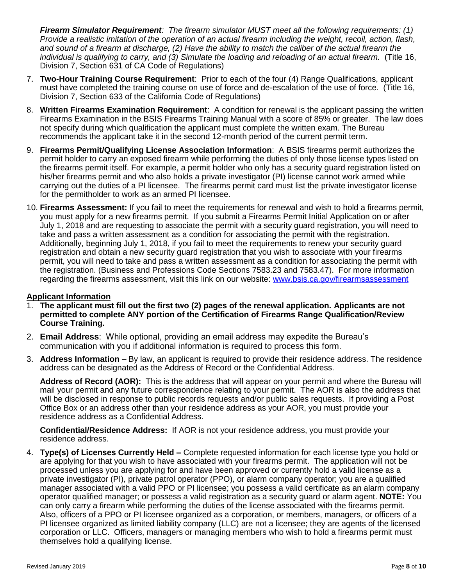**Firearm Simulator Requirement**: The firearm simulator MUST meet all the following requirements: (1)  *Provide a realistic imitation of the operation of an actual firearm including the weight, recoil, action, flash, and sound of a firearm at discharge, (2) Have the ability to match the caliber of the actual firearm the individual is qualifying to carry, and (3) Simulate the loading and reloading of an actual firearm.* (Title 16, Division 7, Section 631 of CA Code of Regulations)

- 7. **Two-Hour Training Course Requirement**: Prior to each of the four (4) Range Qualifications, applicant must have completed the training course on use of force and de-escalation of the use of force. (Title 16, Division 7, Section 633 of the California Code of Regulations)
- 8. **Written Firearms Examination Requirement**: A condition for renewal is the applicant passing the written Firearms Examination in the BSIS Firearms Training Manual with a score of 85% or greater. The law does not specify during which qualification the applicant must complete the written exam. The Bureau recommends the applicant take it in the second 12-month period of the current permit term.
- 9. **Firearms Permit/Qualifying License Association Information**: A BSIS firearms permit authorizes the permit holder to carry an exposed firearm while performing the duties of only those license types listed on the firearms permit itself. For example, a permit holder who only has a security guard registration listed on his/her firearms permit and who also holds a private investigator (PI) license cannot work armed while carrying out the duties of a PI licensee. The firearms permit card must list the private investigator license for the permitholder to work as an armed PI licensee.
- 10. **Firearms Assessment:** If you fail to meet the requirements for renewal and wish to hold a firearms permit, you must apply for a new firearms permit. If you submit a Firearms Permit Initial Application on or after July 1, 2018 and are requesting to associate the permit with a security guard registration, you will need to take and pass a written assessment as a condition for associating the permit with the registration. Additionally, beginning July 1, 2018, if you fail to meet the requirements to renew your security guard registration and obtain a new security guard registration that you wish to associate with your firearms permit, you will need to take and pass a written assessment as a condition for associating the permit with the registration. (Business and Professions Code Sections 7583.23 and 7583.47). For more information regarding the firearms assessment, visit this link on our website: <www.bsis.ca.gov/firearmsassessment> *Firearm Simulator Requirement:* The *linearm simulator MUST meet all the following requirements: (1)<br><i>Frovide a realistic imitation of the operation of an actual firearm including the weight, recoil, action, flash, and so*

#### **Applicant Information**

- 1. **The applicant must fill out the first two (2) pages of the renewal application. Applicants are not permitted to complete ANY portion of the Certification of Firearms Range Qualification/Review Course Training.**
- 2. **Email Address**: While optional, providing an email address may expedite the Bureau's communication with you if additional information is required to process this form.
- 3. **Address Information –** By law, an applicant is required to provide their residence address. The residence address can be designated as the Address of Record or the Confidential Address.

 **Address of Record (AOR):** This is the address that will appear on your permit and where the Bureau will mail your permit and any future correspondence relating to your permit. The AOR is also the address that will be disclosed in response to public records requests and/or public sales requests. If providing a Post Office Box or an address other than your residence address as your AOR, you must provide your residence address as a Confidential Address.

 **Confidential/Residence Address:** If AOR is not your residence address, you must provide your residence address.

 4. **Type(s) of Licenses Currently Held –** Complete requested information for each license type you hold or are applying for that you wish to have associated with your firearms permit. The application will not be processed unless you are applying for and have been approved or currently hold a valid license as a private investigator (PI), private patrol operator (PPO), or alarm company operator; you are a qualified manager associated with a valid PPO or PI licensee; you possess a valid certificate as an alarm company operator qualified manager; or possess a valid registration as a security guard or alarm agent. **NOTE:** You can only carry a firearm while performing the duties of the license associated with the firearms permit. Also, officers of a PPO or PI licensee organized as a corporation, or members, managers, or officers of a PI licensee organized as limited liability company (LLC) are not a licensee; they are agents of the licensed corporation or LLC. Officers, managers or managing members who wish to hold a firearms permit must themselves hold a qualifying license.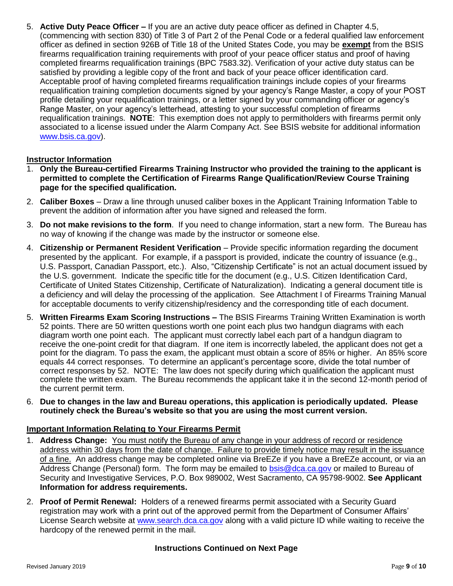5. Active Duty Peace Officer – If you are an active duty peace officer as defined in Chapter 4.5, (commencing with section 830) of Title 3 of Part 2 of the Penal Code or a federal qualified law enforcement officer as defined in section 926B of Title 18 of the United States Code, you may be **exempt** from the BSIS firearms requalification training requirements with proof of your peace officer status and proof of having completed firearms requalification trainings (BPC 7583.32). Verification of your active duty status can be satisfied by providing a legible copy of the front and back of your peace officer identification card. Acceptable proof of having completed firearms requalification trainings include copies of your firearms requalification training completion documents signed by your agency's Range Master, a copy of your POST profile detailing your requalification trainings, or a letter signed by your commanding officer or agency's Range Master, on your agency's letterhead, attesting to your successful completion of firearms requalification trainings. **NOTE**: This exemption does not apply to permitholders with firearms permit only associated to a license issued under the Alarm Company Act. See BSIS website for additional information **S.** Active Duty Peace Officer – If you are an active duty peace officer as defined in Chapter 4.5, Active Duty Peace Officer and the properties of the method in Chapter 4.5, Active during the method in the method in the [www.bsis.ca.gov\)](www.bsis.ca.gov).

#### **Instructor Information**

- 1. **Only the Bureau-certified Firearms Training Instructor who provided the training to the applicant is permitted to complete the Certification of Firearms Range Qualification/Review Course Training page for the specified qualification.**
- 2. **Caliber Boxes**  Draw a line through unused caliber boxes in the Applicant Training Information Table to prevent the addition of information after you have signed and released the form.
- 3. **Do not make revisions to the form**. If you need to change information, start a new form. The Bureau has no way of knowing if the change was made by the instructor or someone else.
- 4. **Citizenship or Permanent Resident Verification**  Provide specific information regarding the document presented by the applicant. For example, if a passport is provided, indicate the country of issuance (e.g., U.S. Passport, Canadian Passport, etc.). Also, "Citizenship Certificate" is not an actual document issued by the U.S. government. Indicate the specific title for the document (e.g., U.S. Citizen Identification Card, Certificate of United States Citizenship, Certificate of Naturalization). Indicating a general document title is a deficiency and will delay the processing of the application. See Attachment I of Firearms Training Manual for acceptable documents to verify citizenship/residency and the corresponding title of each document. on your agency's letterhead, attesting to your successful completion<br>trainings. **NOTE:** This exemption does not apply to permitholders with<br>license issued under the Alarm Company Act. See BSIS website for<br>alicense issued u
- 5. **Written Firearms Exam Scoring Instructions –** The BSIS Firearms Training Written Examination is worth 52 points. There are 50 written questions worth one point each plus two handgun diagrams with each diagram worth one point each. The applicant must correctly label each part of a handgun diagram to receive the one-point credit for that diagram. If one item is incorrectly labeled, the applicant does not get a point for the diagram. To pass the exam, the applicant must obtain a score of 85% or higher. An 85% score equals 44 correct responses. To determine an applicant's percentage score, divide the total number of correct responses by 52. NOTE: The law does not specify during which qualification the applicant must complete the written exam. The Bureau recommends the applicant take it in the second 12-month period of the current permit term.
- 6. **Due to changes in the law and Bureau operations, this application is periodically updated. Please routinely check the Bureau's website so that you are using the most current version.**

#### **Important Information Relating to Your Firearms Permit**

- 1. **Address Change:** You must notify the Bureau of any change in your address of record or residence address within 30 days from the date of change. Failure to provide timely notice may result in the issuance of a fine. An address change may be completed online via BreEZe if you have a BreEZe account, or via an Address Change (Personal) form. The form may be emailed to **bsis@dca.ca.gov** or mailed to Bureau of Security and Investigative Services, P.O. Box 989002, West Sacramento, CA 95798-9002. **See Applicant Information for address requirements.**
- 2. **Proof of Permit Renewal:** Holders of a renewed firearms permit associated with a Security Guard registration may work with a print out of the approved permit from the Department of Consumer Affairs' License Search website at <www.search.dca.ca.gov>along with a valid picture ID while waiting to receive the hardcopy of the renewed permit in the mail.

#### **Instructions Continued on Next Page**